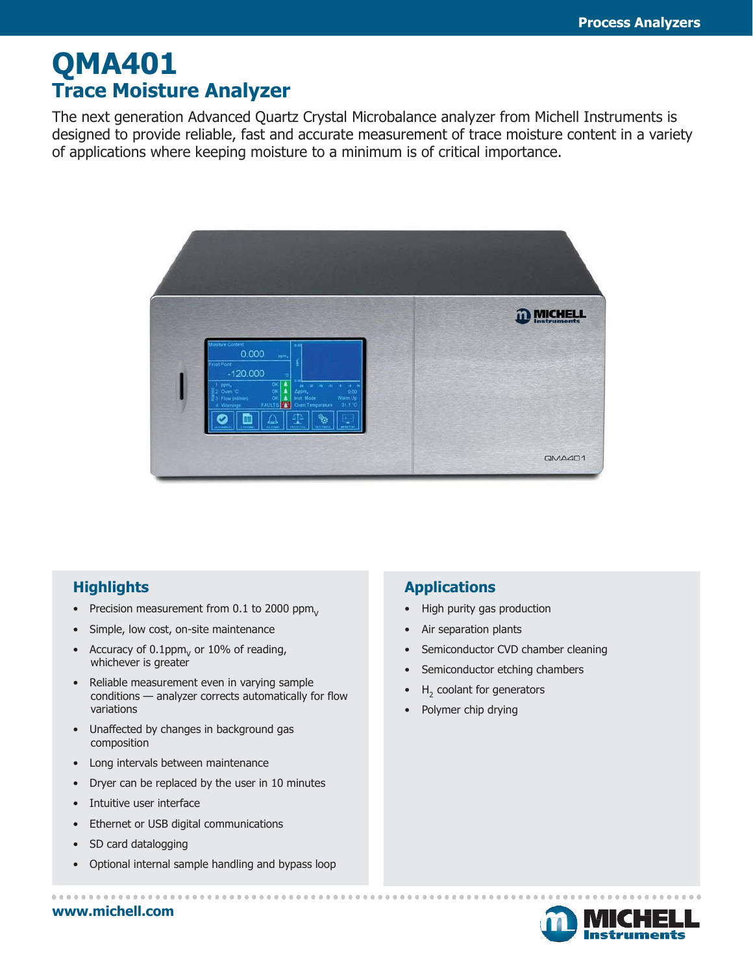# **QMA401 Trace Moisture Analyzer**

The next generation Advanced Quartz Crystal Microbalance analyzer from Michell Instruments is designed to provide reliable, fast and accurate measurement of trace moisture content in a variety of applications where keeping moisture to a minimum is of critical importance.



### **Highlights**

- Precision measurement from 0.1 to 2000 ppm $_{\rm V}$
- Simple, low cost, on-site maintenance
- Accuracy of  $0.1$ ppm<sub> $V$ </sub> or 10% of reading, whichever is greater
- Reliable measurement even in varying sample conditions — analyzer corrects automatically for flow variations
- Unaffected by changes in background gas composition
- Long intervals between maintenance
- Dryer can be replaced by the user in 10 minutes
- Intuitive user interface
- Ethernet or USB digital communications
- SD card datalogging
- Optional internal sample handling and bypass loop

#### **Applications**

- High purity gas production
- Air separation plants
- Semiconductor CVD chamber cleaning
- Semiconductor etching chambers
- $\bullet$  H<sub>2</sub> coolant for generators
- Polymer chip drying



**[www.michell.com](http://www.michell.com/)**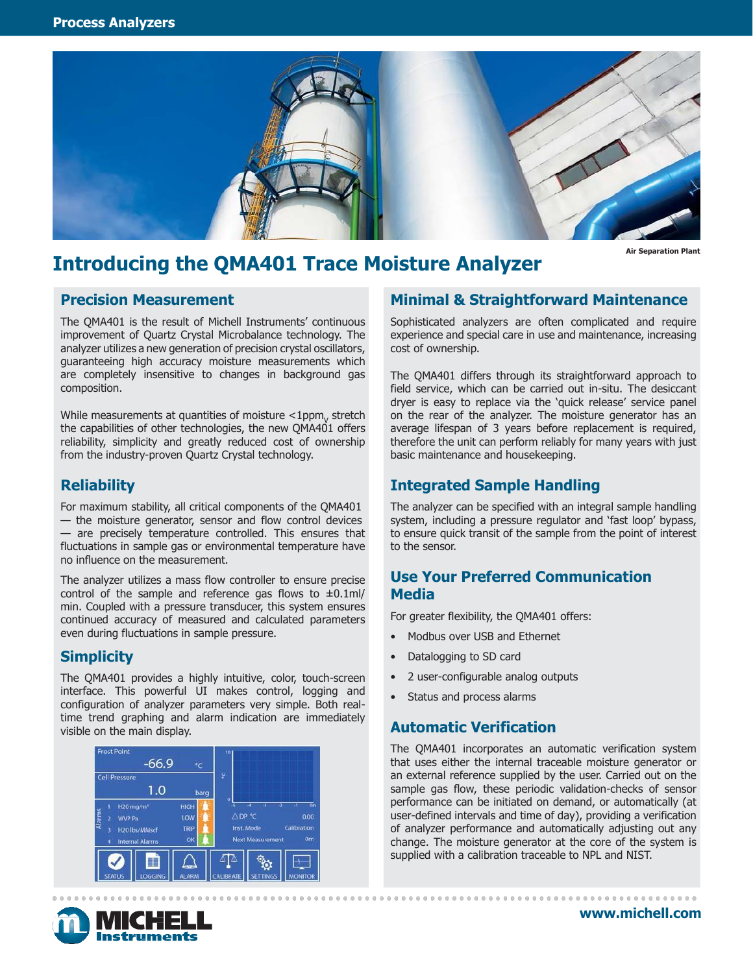

**Air Separation Plant**

### **Introducing the QMA401 Trace Moisture Analyzer**

#### **Precision Measurement**

The QMA401 is the result of Michell Instruments' continuous improvement of Quartz Crystal Microbalance technology. The analyzer utilizes a new generation of precision crystal oscillators, guaranteeing high accuracy moisture measurements which are completely insensitive to changes in background gas composition.

While measurements at quantities of moisture  $<$ 1ppm $_{\rm V}$  stretch the capabilities of other technologies, the new QMA401 offers reliability, simplicity and greatly reduced cost of ownership from the industry-proven Quartz Crystal technology.

#### **Reliability**

For maximum stability, all critical components of the QMA401 — the moisture generator, sensor and flow control devices — are precisely temperature controlled. This ensures that fluctuations in sample gas or environmental temperature have no influence on the measurement.

The analyzer utilizes a mass flow controller to ensure precise control of the sample and reference gas flows to  $\pm 0.1$ ml/ min. Coupled with a pressure transducer, this system ensures continued accuracy of measured and calculated parameters even during fluctuations in sample pressure.

#### **Simplicity**

The QMA401 provides a highly intuitive, color, touch-screen interface. This powerful UI makes control, logging and configuration of analyzer parameters very simple. Both realtime trend graphing and alarm indication are immediately visible on the main display.



#### **Minimal & Straightforward Maintenance**

Sophisticated analyzers are often complicated and require experience and special care in use and maintenance, increasing cost of ownership.

The QMA401 differs through its straightforward approach to field service, which can be carried out in-situ. The desiccant dryer is easy to replace via the 'quick release' service panel on the rear of the analyzer. The moisture generator has an average lifespan of 3 years before replacement is required, therefore the unit can perform reliably for many years with just basic maintenance and housekeeping.

#### **Integrated Sample Handling**

The analyzer can be specified with an integral sample handling system, including a pressure regulator and 'fast loop' bypass, to ensure quick transit of the sample from the point of interest to the sensor.

#### **Use Your Preferred Communication Media**

For greater flexibility, the QMA401 offers:

- Modbus over USB and Ethernet
- Datalogging to SD card
- 2 user-configurable analog outputs
- Status and process alarms

#### **Automatic Verification**

The QMA401 incorporates an automatic verification system that uses either the internal traceable moisture generator or an external reference supplied by the user. Carried out on the sample gas flow, these periodic validation-checks of sensor performance can be initiated on demand, or automatically (at user-defined intervals and time of day), providing a verification of analyzer performance and automatically adjusting out any change. The moisture generator at the core of the system is supplied with a calibration traceable to NPL and NIST.

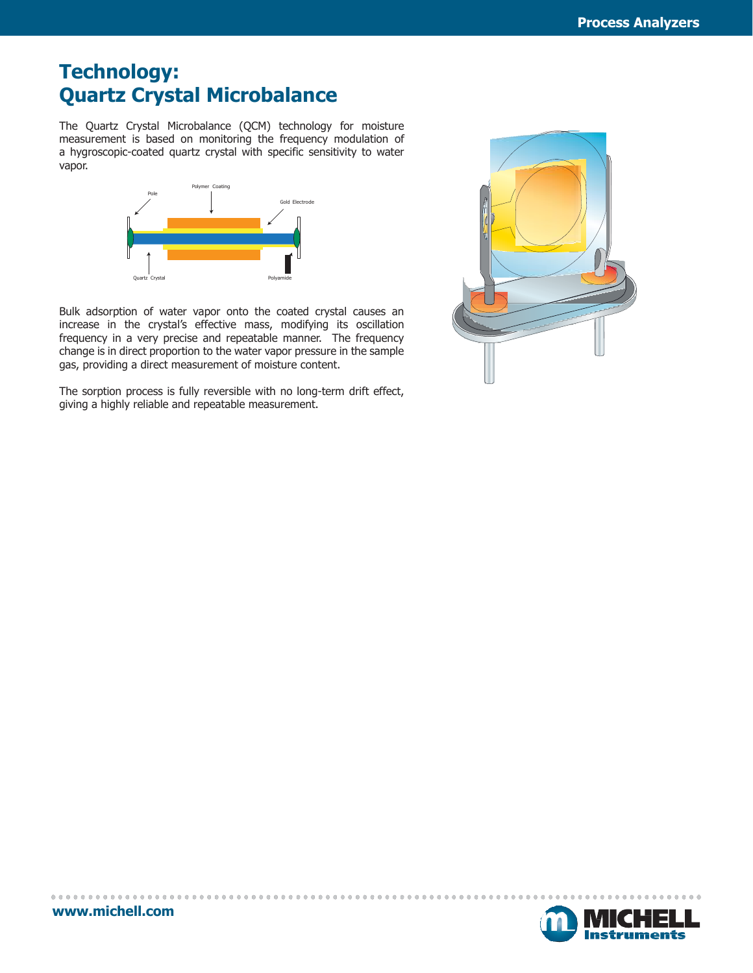### **Technology: Quartz Crystal Microbalance**

The Quartz Crystal Microbalance (QCM) technology for moisture measurement is based on monitoring the frequency modulation of a hygroscopic-coated quartz crystal with specific sensitivity to water vapor.



Bulk adsorption of water vapor onto the coated crystal causes an increase in the crystal's effective mass, modifying its oscillation frequency in a very precise and repeatable manner. The frequency change is in direct proportion to the water vapor pressure in the sample gas, providing a direct measurement of moisture content.

The sorption process is fully reversible with no long-term drift effect, giving a highly reliable and repeatable measurement.